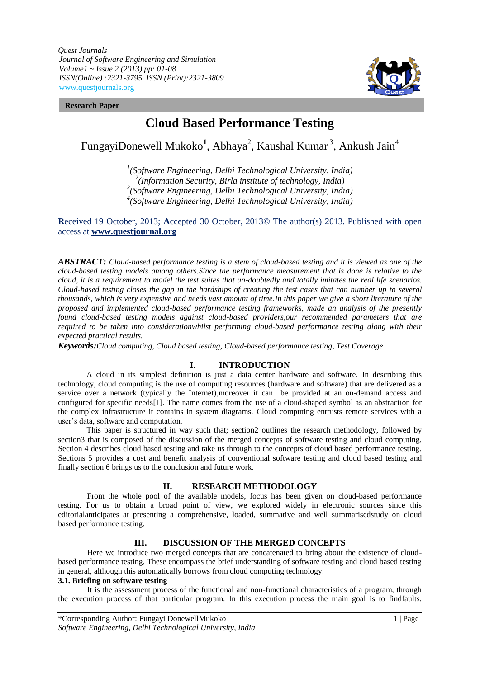*Quest Journals Journal of Software Engineering and Simulation Volume1 ~ Issue 2 (2013) pp: 01-08 ISSN(Online) :2321-3795 ISSN (Print):2321-3809* www.questjournals.org



#### **Research Paper**

# **Cloud Based Performance Testing**

FungayiDonewell Mukoko<sup>1</sup>, Abhaya<sup>2</sup>, Kaushal Kumar<sup>3</sup>, Ankush Jain<sup>4</sup>

 *(Software Engineering, Delhi Technological University, India) (Information Security, Birla institute of technology, India) (Software Engineering, Delhi Technological University, India) (Software Engineering, Delhi Technological University, India)*

**R**eceived 19 October, 2013; **A**ccepted 30 October, 2013© The author(s) 2013. Published with open access at **www.questjournal.org**

*ABSTRACT: Cloud-based performance testing is a stem of cloud-based testing and it is viewed as one of the cloud-based testing models among others.Since the performance measurement that is done is relative to the cloud, it is a requirement to model the test suites that un-doubtedly and totally imitates the real life scenarios. Cloud-based testing closes the gap in the hardships of creating the test cases that can number up to several thousands, which is very expensive and needs vast amount of time.In this paper we give a short literature of the proposed and implemented cloud-based performance testing frameworks, made an analysis of the presently found cloud-based testing models against cloud-based providers,our recommended parameters that are required to be taken into considerationwhilst performing cloud-based performance testing along with their expected practical results.*

*Keywords:Cloud computing, Cloud based testing, Cloud-based performance testing, Test Coverage*

# **I. INTRODUCTION**

A cloud in its simplest definition is just a data center hardware and software. In describing this technology, cloud computing is the use of computing resources (hardware and software) that are delivered as a service over a network (typically the Internet),moreover it can be provided at an on-demand access and configured for specific needs[1]. The name comes from the use of a cloud-shaped symbol as an abstraction for the complex infrastructure it contains in system diagrams. Cloud computing entrusts remote services with a user's data, software and computation.

This paper is structured in way such that; section2 outlines the research methodology, followed by section3 that is composed of the discussion of the merged concepts of software testing and cloud computing. Section 4 describes cloud based testing and take us through to the concepts of cloud based performance testing. Sections 5 provides a cost and benefit analysis of conventional software testing and cloud based testing and finally section 6 brings us to the conclusion and future work.

#### **II. RESEARCH METHODOLOGY**

From the whole pool of the available models, focus has been given on cloud-based performance testing. For us to obtain a broad point of view, we explored widely in electronic sources since this editorialanticipates at presenting a comprehensive, loaded, summative and well summarisedstudy on cloud based performance testing.

## **III. DISCUSSION OF THE MERGED CONCEPTS**

Here we introduce two merged concepts that are concatenated to bring about the existence of cloudbased performance testing. These encompass the brief understanding of software testing and cloud based testing in general, although this automatically borrows from cloud computing technology.

#### **3.1. Briefing on software testing**

It is the assessment process of the functional and non-functional characteristics of a program, through the execution process of that particular program. In this execution process the main goal is to findfaults.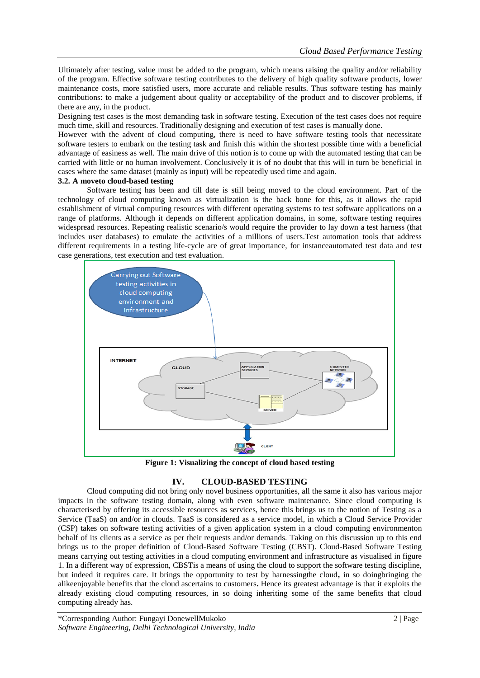Ultimately after testing, value must be added to the program, which means raising the quality and/or reliability of the program. Effective software testing contributes to the delivery of high quality software products, lower maintenance costs, more satisfied users, more accurate and reliable results. Thus software testing has mainly contributions: to make a judgement about quality or acceptability of the product and to discover problems, if there are any, in the product.

Designing test cases is the most demanding task in software testing. Execution of the test cases does not require much time, skill and resources. Traditionally designing and execution of test cases is manually done.

However with the advent of cloud computing, there is need to have software testing tools that necessitate software testers to embark on the testing task and finish this within the shortest possible time with a beneficial advantage of easiness as well. The main drive of this notion is to come up with the automated testing that can be carried with little or no human involvement. Conclusively it is of no doubt that this will in turn be beneficial in cases where the same dataset (mainly as input) will be repeatedly used time and again.

# **3.2. A moveto cloud-based testing**

Software testing has been and till date is still being moved to the cloud environment. Part of the technology of cloud computing known as virtualization is the back bone for this, as it allows the rapid establishment of virtual computing resources with different operating systems to test software applications on a range of platforms. Although it depends on different application domains, in some, software testing requires widespread resources. Repeating realistic scenario/s would require the provider to lay down a test harness (that includes user databases) to emulate the activities of a millions of users.Test automation tools that address different requirements in a testing life-cycle are of great importance, for instanceautomated test data and test case generations*,* test execution and test evaluation.



**Figure 1: Visualizing the concept of cloud based testing**

# **IV. CLOUD-BASED TESTING**

Cloud computing did not bring only novel business opportunities, all the same it also has various major impacts in the software testing domain, along with even software maintenance. Since cloud computing is characterised by offering its accessible resources as services, hence this brings us to the notion of Testing as a Service (TaaS) on and/or in clouds. TaaS is considered as a service model, in which a Cloud Service Provider (CSP) takes on software testing activities of a given application system in a cloud computing environmenton behalf of its clients as a service as per their requests and/or demands. Taking on this discussion up to this end brings us to the proper definition of Cloud-Based Software Testing (CBST). Cloud-Based Software Testing means carrying out testing activities in a cloud computing environment and infrastructure as visualised in figure 1. In a different way of expression, CBSTis a means of using the cloud to support the software testing discipline, but indeed it requires care. It brings the opportunity to test by harnessingthe cloud**,** in so doingbringing the alikeenjoyable benefits that the cloud ascertains to customers**.** Hence its greatest advantage is that it exploits the already existing cloud computing resources, in so doing inheriting some of the same benefits that cloud computing already has.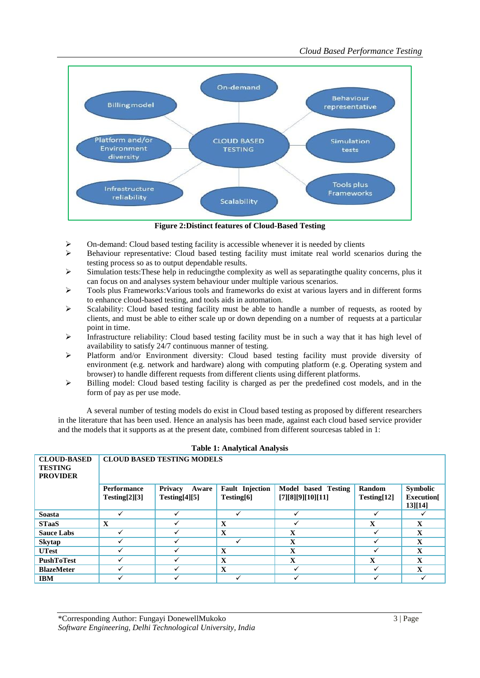

**Figure 2:Distinct features of Cloud-Based Testing**

- On-demand: Cloud based testing facility is accessible whenever it is needed by clients
- Behaviour representative: Cloud based testing facility must imitate real world scenarios during the testing process so as to output dependable results.
- Simulation tests:These help in reducingthe complexity as well as separatingthe quality concerns, plus it can focus on and analyses system behaviour under multiple various scenarios.
- Tools plus Frameworks:Various tools and frameworks do exist at various layers and in different forms to enhance cloud-based testing, and tools aids in automation.
- Scalability: Cloud based testing facility must be able to handle a number of requests, as rooted by clients, and must be able to either scale up or down depending on a number of requests at a particular point in time.
- Infrastructure reliability: Cloud based testing facility must be in such a way that it has high level of availability to satisfy 24/7 continuous manner of testing.
- Platform and/or Environment diversity: Cloud based testing facility must provide diversity of environment (e.g. network and hardware) along with computing platform (e.g. Operating system and browser) to handle different requests from different clients using different platforms.
- Billing model: Cloud based testing facility is charged as per the predefined cost models, and in the form of pay as per use mode.

A several number of testing models do exist in Cloud based testing as proposed by different researchers in the literature that has been used. Hence an analysis has been made, against each cloud based service provider and the models that it supports as at the present date, combined from different sourcesas tabled in 1:

| rapic 1. Thany tical Thiany Sip                         |                                   |                         |                        |                     |              |                  |  |
|---------------------------------------------------------|-----------------------------------|-------------------------|------------------------|---------------------|--------------|------------------|--|
| <b>CLOUD-BASED</b><br><b>TESTING</b><br><b>PROVIDER</b> | <b>CLOUD BASED TESTING MODELS</b> |                         |                        |                     |              |                  |  |
|                                                         | <b>Performance</b>                | <b>Privacy</b><br>Aware | <b>Fault</b> Injection | Model based Testing | Random       | Symbolic         |  |
|                                                         | Testing[2][3]                     | Testing[4][5]           | Testing[6]             | [7][8][9][10][11]   | Testing[12]  | <b>Execution</b> |  |
|                                                         |                                   |                         |                        |                     |              | $13$ [14]        |  |
| <b>Soasta</b>                                           |                                   |                         | ✓                      |                     | ✓            |                  |  |
| <b>STaaS</b>                                            | X                                 |                         | X                      |                     | $\mathbf X$  | $\mathbf X$      |  |
| <b>Sauce Labs</b>                                       |                                   |                         | $\mathbf{x}$           | $\mathbf x$         | ✓            | $\mathbf{X}$     |  |
| <b>Skytap</b>                                           |                                   |                         |                        | $\mathbf x$         | ✓            | $\mathbf{X}$     |  |
| <b>UTest</b>                                            |                                   |                         | $\mathbf X$            | $\mathbf x$         | ✓            | $\mathbf{X}$     |  |
| <b>PushToTest</b>                                       |                                   |                         | $\mathbf{X}$           | $\mathbf x$         | $\mathbf{X}$ | $\mathbf{X}$     |  |
| <b>BlazeMeter</b>                                       |                                   |                         | X                      |                     | ✓            | $\mathbf X$      |  |
| <b>IBM</b>                                              |                                   |                         |                        |                     |              |                  |  |

#### **Table 1: Analytical Analysis**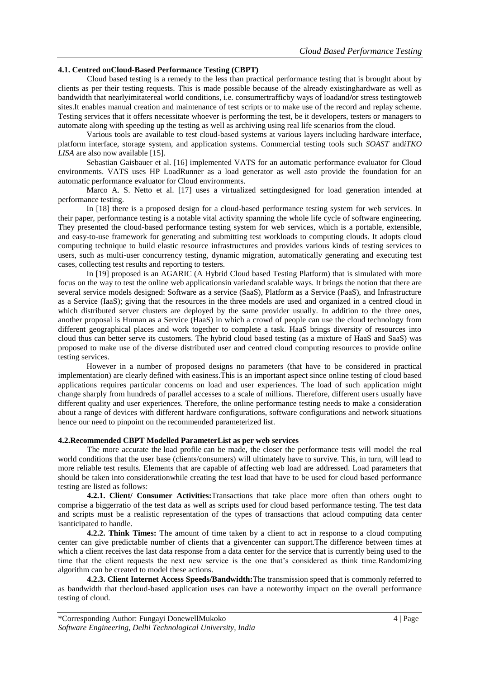#### **4.1. Centred onCloud-Based Performance Testing (CBPT)**

Cloud based testing is a remedy to the less than practical performance testing that is brought about by clients as per their testing requests. This is made possible because of the already existinghardware as well as bandwidth that nearlyimitatereal world conditions, i.e. consumertrafficby ways of loadand**/**or stress testingtoweb sites.It enables manual creation and maintenance of test scripts or to make use of the record and replay scheme. Testing services that it offers necessitate whoever is performing the test, be it developers, testers or managers to automate along with speeding up the testing as well as archiving using real life scenarios from the cloud.

Various tools are available to test cloud-based systems at various layers including hardware interface, platform interface, storage system, and application systems. Commercial testing tools such *SOAST* and*iTKO LISA* are also now available [15].

Sebastian Gaisbauer et al. [16] implemented VATS for an automatic performance evaluator for Cloud environments. VATS uses HP LoadRunner as a load generator as well asto provide the foundation for an automatic performance evaluator for Cloud environments.

Marco A. S. Netto et al. [17] uses a virtualized settingdesigned for load generation intended at performance testing.

In [18] there is a proposed design for a cloud-based performance testing system for web services. In their paper, performance testing is a notable vital activity spanning the whole life cycle of software engineering. They presented the cloud-based performance testing system for web services, which is a portable, extensible, and easy-to-use framework for generating and submitting test workloads to computing clouds. It adopts cloud computing technique to build elastic resource infrastructures and provides various kinds of testing services to users, such as multi-user concurrency testing, dynamic migration, automatically generating and executing test cases, collecting test results and reporting to testers.

In [19] proposed is an AGARIC (A Hybrid Cloud based Testing Platform) that is simulated with more focus on the way to test the online web applicationsin variedand scalable ways. It brings the notion that there are several service models designed: Software as a service (SaaS), Platform as a Service (PaaS), and Infrastructure as a Service (IaaS); giving that the resources in the three models are used and organized in a centred cloud in which distributed server clusters are deployed by the same provider usually. In addition to the three ones, another proposal is Human as a Service (HaaS) in which a crowd of people can use the cloud technology from different geographical places and work together to complete a task. HaaS brings diversity of resources into cloud thus can better serve its customers. The hybrid cloud based testing (as a mixture of HaaS and SaaS) was proposed to make use of the diverse distributed user and centred cloud computing resources to provide online testing services.

However in a number of proposed designs no parameters (that have to be considered in practical implementation) are clearly defined with easiness.This is an important aspect since online testing of cloud based applications requires particular concerns on load and user experiences. The load of such application might change sharply from hundreds of parallel accesses to a scale of millions. Therefore, different users usually have different quality and user experiences. Therefore, the online performance testing needs to make a consideration about a range of devices with different hardware configurations, software configurations and network situations hence our need to pinpoint on the recommended parameterized list.

#### **4.2.Recommended CBPT Modelled ParameterList as per web services**

The more accurate the load profile can be made, the closer the performance tests will model the real world conditions that the user base (clients/consumers) will ultimately have to survive. This, in turn, will lead to more reliable test results. Elements that are capable of affecting web load are addressed. Load parameters that should be taken into considerationwhile creating the test load that have to be used for cloud based performance testing are listed as follows:

**4.2.1. Client/ Consumer Activities:**Transactions that take place more often than others ought to comprise a biggerratio of the test data as well as scripts used for cloud based performance testing. The test data and scripts must be a realistic representation of the types of transactions that acloud computing data center isanticipated to handle.

**4.2.2. Think Times:** The amount of time taken by a client to act in response to a cloud computing center can give predictable number of clients that a givencenter can support.The difference between times at which a client receives the last data response from a data center for the service that is currently being used to the time that the client requests the next new service is the one that's considered as think time.Randomizing algorithm can be created to model these actions.

**4.2.3. Client Internet Access Speeds/Bandwidth:**The transmission speed that is commonly referred to as bandwidth that thecloud-based application uses can have a noteworthy impact on the overall performance testing of cloud.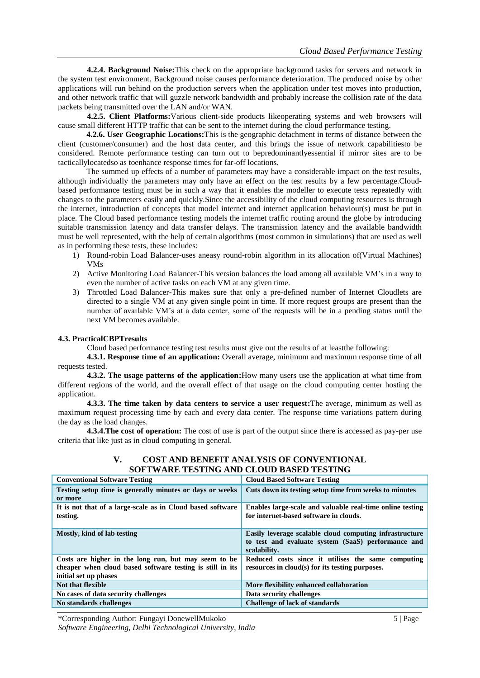**4.2.4. Background Noise:**This check on the appropriate background tasks for servers and network in the system test environment. Background noise causes performance deterioration. The produced noise by other applications will run behind on the production servers when the application under test moves into production, and other network traffic that will guzzle network bandwidth and probably increase the collision rate of the data packets being transmitted over the LAN and/or WAN.

**4.2.5. Client Platforms:**Various client-side products likeoperating systems and web browsers will cause small different HTTP traffic that can be sent to the internet during the cloud performance testing.

**4.2.6. User Geographic Locations:**This is the geographic detachment in terms of distance between the client (customer/consumer) and the host data center, and this brings the issue of network capabilitiesto be considered. Remote performance testing can turn out to bepredominantlyessential if mirror sites are to be tacticallylocatedso as toenhance response times for far-off locations.

The summed up effects of a number of parameters may have a considerable impact on the test results, although individually the parameters may only have an effect on the test results by a few percentage.Cloudbased performance testing must be in such a way that it enables the modeller to execute tests repeatedly with changes to the parameters easily and quickly.Since the accessibility of the cloud computing resources is through the internet, introduction of concepts that model internet and internet application behaviour(s) must be put in place. The Cloud based performance testing models the internet traffic routing around the globe by introducing suitable transmission latency and data transfer delays. The transmission latency and the available bandwidth must be well represented, with the help of certain algorithms (most common in simulations) that are used as well as in performing these tests, these includes:

- 1) Round-robin Load Balancer-uses aneasy round-robin algorithm in its allocation of(Virtual Machines) VMs
- 2) Active Monitoring Load Balancer-This version balances the load among all available VM's in a way to even the number of active tasks on each VM at any given time.
- 3) Throttled Load Balancer-This makes sure that only a pre-defined number of Internet Cloudlets are directed to a single VM at any given single point in time. If more request groups are present than the number of available VM's at a data center, some of the requests will be in a pending status until the next VM becomes available.

### **4.3. PracticalCBPTresults**

Cloud based performance testing test results must give out the results of at leastthe following:

**4.3.1. Response time of an application:** Overall average, minimum and maximum response time of all requests tested.

**4.3.2. The usage patterns of the application:**How many users use the application at what time from different regions of the world, and the overall effect of that usage on the cloud computing center hosting the application.

**4.3.3. The time taken by data centers to service a user request:**The average, minimum as well as maximum request processing time by each and every data center. The response time variations pattern during the day as the load changes.

**4.3.4.The cost of operation:** The cost of use is part of the output since there is accessed as pay-per use criteria that like just as in cloud computing in general.

# **V. COST AND BENEFIT ANALYSIS OF CONVENTIONAL SOFTWARE TESTING AND CLOUD BASED TESTING**

| <b>Conventional Software Testing</b>                                                                                                       | <b>Cloud Based Software Testing</b>                                                                                           |  |  |
|--------------------------------------------------------------------------------------------------------------------------------------------|-------------------------------------------------------------------------------------------------------------------------------|--|--|
| Testing setup time is generally minutes or days or weeks                                                                                   | Cuts down its testing setup time from weeks to minutes                                                                        |  |  |
| or more                                                                                                                                    |                                                                                                                               |  |  |
| It is not that of a large-scale as in Cloud based software<br>testing.                                                                     | Enables large-scale and valuable real-time online testing<br>for internet-based software in clouds.                           |  |  |
| Mostly, kind of lab testing                                                                                                                | Easily leverage scalable cloud computing infrastructure<br>to test and evaluate system (SaaS) performance and<br>scalability. |  |  |
| Costs are higher in the long run, but may seem to be<br>cheaper when cloud based software testing is still in its<br>initial set up phases | Reduced costs since it utilises the same computing<br>resources in cloud(s) for its testing purposes.                         |  |  |
| <b>Not that flexible</b>                                                                                                                   | More flexibility enhanced collaboration                                                                                       |  |  |
| No cases of data security challenges                                                                                                       | Data security challenges                                                                                                      |  |  |
| No standards challenges                                                                                                                    | <b>Challenge of lack of standards</b>                                                                                         |  |  |

\*Corresponding Author: Fungayi DonewellMukoko 5 | Page *Software Engineering, Delhi Technological University, India*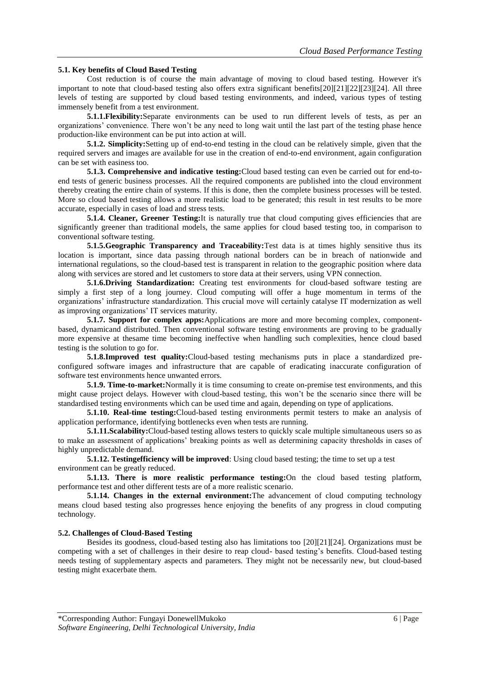### **5.1. Key benefits of Cloud Based Testing**

Cost reduction is of course the main advantage of moving to cloud based testing. However it's important to note that cloud-based testing also offers extra significant benefits[20][21][22][23][24]. All three levels of testing are supported by cloud based testing environments, and indeed, various types of testing immensely benefit from a test environment.

**5.1.1.Flexibility:**Separate environments can be used to run different levels of tests, as per an organizations' convenience. There won't be any need to long wait until the last part of the testing phase hence production-like environment can be put into action at will.

**5.1.2. Simplicity:**Setting up of end-to-end testing in the cloud can be relatively simple, given that the required servers and images are available for use in the creation of end-to-end environment, again configuration can be set with easiness too.

**5.1.3. Comprehensive and indicative testing:**Cloud based testing can even be carried out for end-toend tests of generic business processes. All the required components are published into the cloud environment thereby creating the entire chain of systems. If this is done, then the complete business processes will be tested. More so cloud based testing allows a more realistic load to be generated; this result in test results to be more accurate, especially in cases of load and stress tests.

**5.1.4. Cleaner, Greener Testing:**It is naturally true that cloud computing gives efficiencies that are significantly greener than traditional models, the same applies for cloud based testing too, in comparison to conventional software testing.

**5.1.5.Geographic Transparency and Traceability:**Test data is at times highly sensitive thus its location is important, since data passing through national borders can be in breach of nationwide and international regulations, so the cloud-based test is transparent in relation to the geographic position where data along with services are stored and let customers to store data at their servers, using VPN connection.

**5.1.6.Driving Standardization:** Creating test environments for cloud-based software testing are simply a first step of a long journey. Cloud computing will offer a huge momentum in terms of the organizations' infrastructure standardization. This crucial move will certainly catalyse IT modernization as well as improving organizations' IT services maturity.

**5.1.7. Support for complex apps:**Applications are more and more becoming complex, componentbased, dynamicand distributed. Then conventional software testing environments are proving to be gradually more expensive at thesame time becoming ineffective when handling such complexities, hence cloud based testing is the solution to go for.

**5.1.8.Improved test quality:**Cloud-based testing mechanisms puts in place a standardized preconfigured software images and infrastructure that are capable of eradicating inaccurate configuration of software test environments hence unwanted errors.

**5.1.9. Time-to-market:**Normally it is time consuming to create on-premise test environments, and this might cause project delays. However with cloud-based testing, this won't be the scenario since there will be standardised testing environments which can be used time and again, depending on type of applications.

**5.1.10. Real-time testing:**Cloud-based testing environments permit testers to make an analysis of application performance, identifying bottlenecks even when tests are running.

**5.1.11.Scalability:**Cloud-based testing allows testers to quickly scale multiple simultaneous users so as to make an assessment of applications' breaking points as well as determining capacity thresholds in cases of highly unpredictable demand.

**5.1.12. Testingefficiency will be improved**: Using cloud based testing; the time to set up a test environment can be greatly reduced.

**5.1.13. There is more realistic performance testing:**On the cloud based testing platform, performance test and other different tests are of a more realistic scenario.

**5.1.14. Changes in the external environment:**The advancement of cloud computing technology means cloud based testing also progresses hence enjoying the benefits of any progress in cloud computing technology.

#### **5.2. Challenges of Cloud-Based Testing**

Besides its goodness, cloud-based testing also has limitations too [20][21][24]. Organizations must be competing with a set of challenges in their desire to reap cloud- based testing's benefits. Cloud-based testing needs testing of supplementary aspects and parameters. They might not be necessarily new, but cloud-based testing might exacerbate them.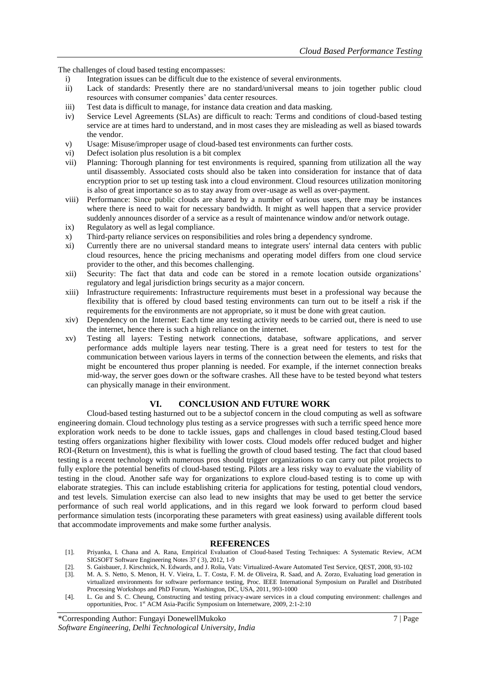The challenges of cloud based testing encompasses:

- i) Integration issues can be difficult due to the existence of several environments.
- ii) Lack of standards: Presently there are no standard/universal means to join together public cloud resources with consumer companies' data center resources.
- iii) Test data is difficult to manage, for instance data creation and data masking.
- iv) Service Level Agreements (SLAs) are difficult to reach: Terms and conditions of cloud-based testing service are at times hard to understand, and in most cases they are misleading as well as biased towards the vendor.
- v) Usage: Misuse/improper usage of cloud-based test environments can further costs.
- vi) Defect isolation plus resolution is a bit complex
- vii) Planning: Thorough planning for test environments is required, spanning from utilization all the way until disassembly. Associated costs should also be taken into consideration for instance that of data encryption prior to set up testing task into a cloud environment. Cloud resources utilization monitoring is also of great importance so as to stay away from over-usage as well as over-payment.
- viii) Performance: Since public clouds are shared by a number of various users, there may be instances where there is need to wait for necessary bandwidth. It might as well happen that a service provider suddenly announces disorder of a service as a result of maintenance window and/or network outage.
- ix) Regulatory as well as legal compliance.
- x) Third-party reliance services on responsibilities and roles bring a dependency syndrome.
- xi) Currently there are no universal standard means to integrate users' internal data centers with public cloud resources, hence the pricing mechanisms and operating model differs from one cloud service provider to the other, and this becomes challenging.
- xii) Security: The fact that data and code can be stored in a remote location outside organizations' regulatory and legal jurisdiction brings security as a major concern.
- xiii) Infrastructure requirements: Infrastructure requirements must beset in a professional way because the flexibility that is offered by cloud based testing environments can turn out to be itself a risk if the requirements for the environments are not appropriate, so it must be done with great caution.
- xiv) Dependency on the Internet: Each time any testing activity needs to be carried out, there is need to use the internet, hence there is such a high reliance on the internet.
- xv) Testing all layers: Testing network connections, database, software applications, and server performance adds multiple layers near testing. There is a great need for testers to test for the communication between various layers in terms of the connection between the elements, and risks that might be encountered thus proper planning is needed. For example, if the internet connection breaks mid-way, the server goes down or the software crashes. All these have to be tested beyond what testers can physically manage in their environment.

# **VI. CONCLUSION AND FUTURE WORK**

Cloud-based testing hasturned out to be a subjectof concern in the cloud computing as well as software engineering domain. Cloud technology plus testing as a service progresses with such a terrific speed hence more exploration work needs to be done to tackle issues, gaps and challenges in cloud based testing.Cloud based testing offers organizations higher flexibility with lower costs. Cloud models offer reduced budget and higher ROI-(Return on Investment), this is what is fuelling the growth of cloud based testing. The fact that cloud based testing is a recent technology with numerous pros should trigger organizations to can carry out pilot projects to fully explore the potential benefits of cloud-based testing. Pilots are a less risky way to evaluate the viability of testing in the cloud. Another safe way for organizations to explore cloud-based testing is to come up with elaborate strategies. This can include establishing criteria for applications for testing, potential cloud vendors, and test levels. Simulation exercise can also lead to new insights that may be used to get better the service performance of such real world applications, and in this regard we look forward to perform cloud based performance simulation tests (incorporating these parameters with great easiness) using available different tools that accommodate improvements and make some further analysis.

# **REFERENCES**

- [1]. Priyanka, I. Chana and A. Rana, Empirical Evaluation of Cloud-based Testing Techniques: A Systematic Review, ACM SIGSOFT Software Engineering Notes 37 ( 3), 2012, 1-9
- [2]. S. Gaisbauer, J. Kirschnick, N. Edwards, and J. Rolia, Vats: Virtualized-Aware Automated Test Service, QEST, 2008, 93-102
- [3]. M. A. S. Netto, S. Menon, H. V. Vieira, L. T. Costa, F. M. de Oliveira, R. Saad, and A. Zorzo, Evaluating load generation in virtualized environments for software performance testing, Proc. IEEE International Symposium on Parallel and Distributed Processing Workshops and PhD Forum, Washington, DC, USA, 2011, 993-1000
- [4]. L. Gu and S. C. Cheung, Constructing and testing privacy-aware services in a cloud computing environment: challenges and opportunities, Proc. 1st ACM Asia-Pacific Symposium on Internetware, 2009, 2:1-2:10